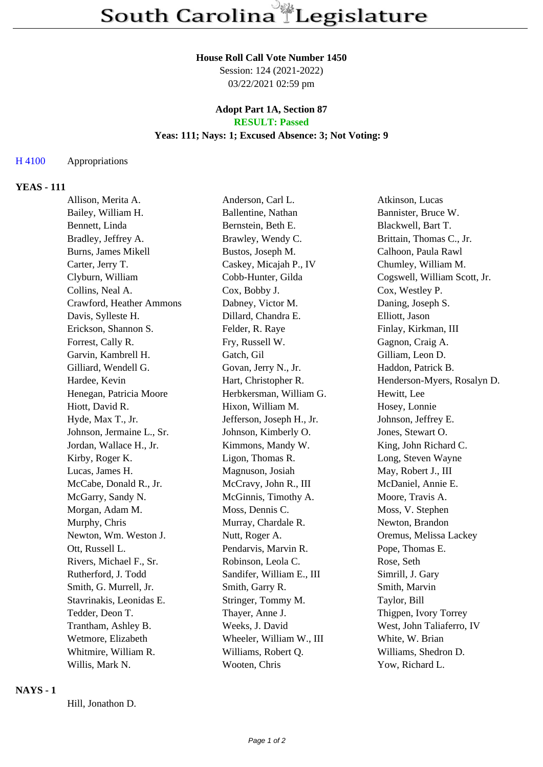#### **House Roll Call Vote Number 1450**

Session: 124 (2021-2022) 03/22/2021 02:59 pm

### **Adopt Part 1A, Section 87 RESULT: Passed**

### **Yeas: 111; Nays: 1; Excused Absence: 3; Not Voting: 9**

## H 4100 Appropriations

## **YEAS - 111**

| Allison, Merita A.        | Anderson, Carl L.         | Atkinson, Lucas              |
|---------------------------|---------------------------|------------------------------|
| Bailey, William H.        | Ballentine, Nathan        | Bannister, Bruce W.          |
| Bennett, Linda            | Bernstein, Beth E.        | Blackwell, Bart T.           |
| Bradley, Jeffrey A.       | Brawley, Wendy C.         | Brittain, Thomas C., Jr.     |
| Burns, James Mikell       | Bustos, Joseph M.         | Calhoon, Paula Rawl          |
| Carter, Jerry T.          | Caskey, Micajah P., IV    | Chumley, William M.          |
| Clyburn, William          | Cobb-Hunter, Gilda        | Cogswell, William Scott, Jr. |
| Collins, Neal A.          | Cox, Bobby J.             | Cox, Westley P.              |
| Crawford, Heather Ammons  | Dabney, Victor M.         | Daning, Joseph S.            |
| Davis, Sylleste H.        | Dillard, Chandra E.       | Elliott, Jason               |
| Erickson, Shannon S.      | Felder, R. Raye           | Finlay, Kirkman, III         |
| Forrest, Cally R.         | Fry, Russell W.           | Gagnon, Craig A.             |
| Garvin, Kambrell H.       | Gatch, Gil                | Gilliam, Leon D.             |
| Gilliard, Wendell G.      | Govan, Jerry N., Jr.      | Haddon, Patrick B.           |
| Hardee, Kevin             | Hart, Christopher R.      | Henderson-Myers, Rosalyn D.  |
| Henegan, Patricia Moore   | Herbkersman, William G.   | Hewitt, Lee                  |
| Hiott, David R.           | Hixon, William M.         | Hosey, Lonnie                |
| Hyde, Max T., Jr.         | Jefferson, Joseph H., Jr. | Johnson, Jeffrey E.          |
| Johnson, Jermaine L., Sr. | Johnson, Kimberly O.      | Jones, Stewart O.            |
| Jordan, Wallace H., Jr.   | Kimmons, Mandy W.         | King, John Richard C.        |
| Kirby, Roger K.           | Ligon, Thomas R.          | Long, Steven Wayne           |
| Lucas, James H.           | Magnuson, Josiah          | May, Robert J., III          |
| McCabe, Donald R., Jr.    | McCravy, John R., III     | McDaniel, Annie E.           |
| McGarry, Sandy N.         | McGinnis, Timothy A.      | Moore, Travis A.             |
| Morgan, Adam M.           | Moss, Dennis C.           | Moss, V. Stephen             |
| Murphy, Chris             | Murray, Chardale R.       | Newton, Brandon              |
| Newton, Wm. Weston J.     | Nutt, Roger A.            | Oremus, Melissa Lackey       |
| Ott, Russell L.           | Pendarvis, Marvin R.      | Pope, Thomas E.              |
| Rivers, Michael F., Sr.   | Robinson, Leola C.        | Rose, Seth                   |
| Rutherford, J. Todd       | Sandifer, William E., III | Simrill, J. Gary             |
| Smith, G. Murrell, Jr.    | Smith, Garry R.           | Smith, Marvin                |
| Stavrinakis, Leonidas E.  | Stringer, Tommy M.        | Taylor, Bill                 |
| Tedder, Deon T.           | Thayer, Anne J.           | Thigpen, Ivory Torrey        |
| Trantham, Ashley B.       | Weeks, J. David           | West, John Taliaferro, IV    |
| Wetmore, Elizabeth        | Wheeler, William W., III  | White, W. Brian              |
| Whitmire, William R.      | Williams, Robert Q.       | Williams, Shedron D.         |
| Willis, Mark N.           | Wooten, Chris             | Yow, Richard L.              |

### **NAYS - 1**

Hill, Jonathon D.